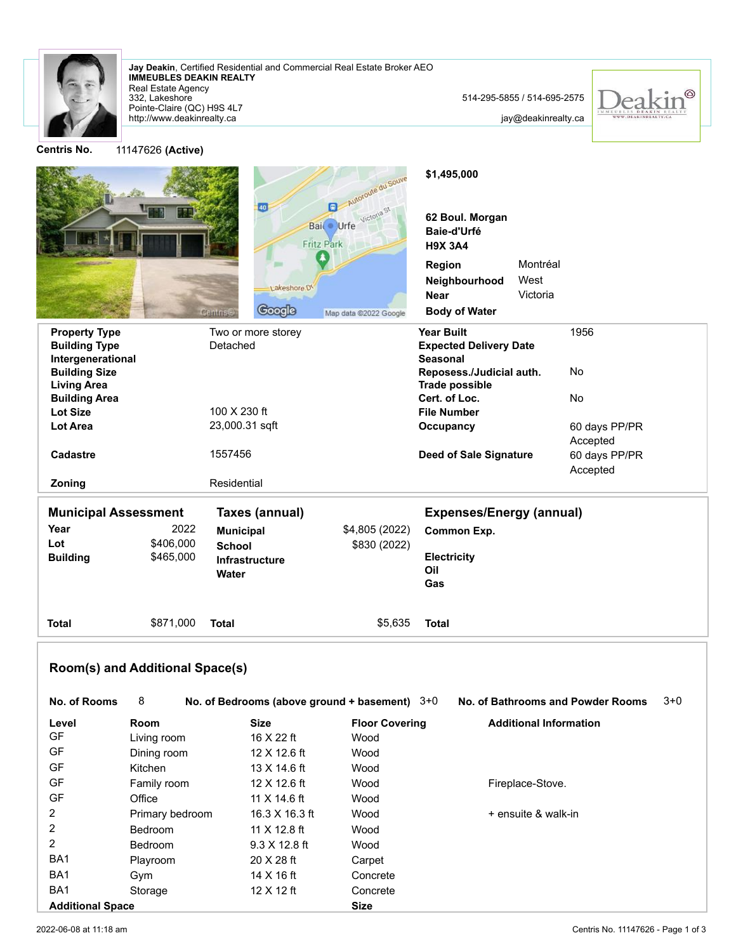

Real Estate Agency **IMMEUBLES DEAKIN REALTY Jay Deakin**, Certified Residential and Commercial Real Estate Broker AEO

http://www.deakinrealty.ca Pointe-Claire (QC) H9S 4L7 332, Lakeshore

jay@deakinrealty.ca



**Centris No.** 11147626 **(Active)** Autoroute du Souve **\$1,495,000** 40 Bail Urfe Victoria St **62 Boul. Morgan Baie-d'Urfé** Fritz Park **H9X 3A4** И **Region** Montréal West **Neighbourhood** Lakeshore.DV Victoria **Near** Google **Body of Water** Centris Map data @2022 Google **Property Type Two or more storey The Store Store Store Store Store Store Store Store Store Store Store Store Store Store Store Store Store Store Store Store Store Store Store Store Store Store Store Store Store Store Stor** 1956 **Building Type** Detached **Expected Delivery Date Intergenerational Seasonal Building Size Reposess./Judicial auth.** No **Living Area Trade possible Building Area Cert. of Loc.** No 100 X 230 ft **File Number Lot Size Lot Area** 23,000.31 sqft **Occupancy** 60 days PP/PR Accepted **Cadastre 1557456 <b>Deed of Sale Signature** 1557456 60 days PP/PR Accepted **Zoning** Residential **Municipal Assessment Taxes (annual) Expenses/Energy (annual) Year** 2022 **Municipal** \$4,805 (2022) **Common Exp. Lot** \$406,000 **School** \$830 (2022) **Building** \$465,000 **Electricity Infrastructure Oil Water Gas Total** \$871,000 **Total** \$5,635 **Total**

# **Room(s) and Additional Space(s)**

| No. of Rooms            | 8               | No. of Bedrooms (above ground $+$ basement) $3+0$ |                       | No. of Bathrooms and Powder Rooms | $3 + 0$ |
|-------------------------|-----------------|---------------------------------------------------|-----------------------|-----------------------------------|---------|
| Level                   | <b>Room</b>     | <b>Size</b>                                       | <b>Floor Covering</b> | <b>Additional Information</b>     |         |
| GF                      | Living room     | 16 X 22 ft                                        | Wood                  |                                   |         |
| <b>GF</b>               | Dining room     | 12 X 12.6 ft                                      | Wood                  |                                   |         |
| <b>GF</b>               | Kitchen         | 13 X 14.6 ft                                      | Wood                  |                                   |         |
| GF                      | Family room     | 12 X 12.6 ft                                      | Wood                  | Fireplace-Stove.                  |         |
| <b>GF</b>               | Office          | 11 $X$ 14.6 ft                                    | Wood                  |                                   |         |
| 2                       | Primary bedroom | 16.3 X 16.3 ft                                    | Wood                  | + ensuite & walk-in               |         |
| 2                       | <b>Bedroom</b>  | 11 X 12.8 ft                                      | Wood                  |                                   |         |
| 2                       | Bedroom         | $9.3 \times 12.8$ ft                              | Wood                  |                                   |         |
| BA <sub>1</sub>         | Playroom        | 20 X 28 ft                                        | Carpet                |                                   |         |
| BA <sub>1</sub>         | Gym             | 14 X 16 ft                                        | Concrete              |                                   |         |
| BA <sub>1</sub>         | Storage         | $12 \times 12$ ft                                 | Concrete              |                                   |         |
| <b>Additional Space</b> |                 |                                                   | <b>Size</b>           |                                   |         |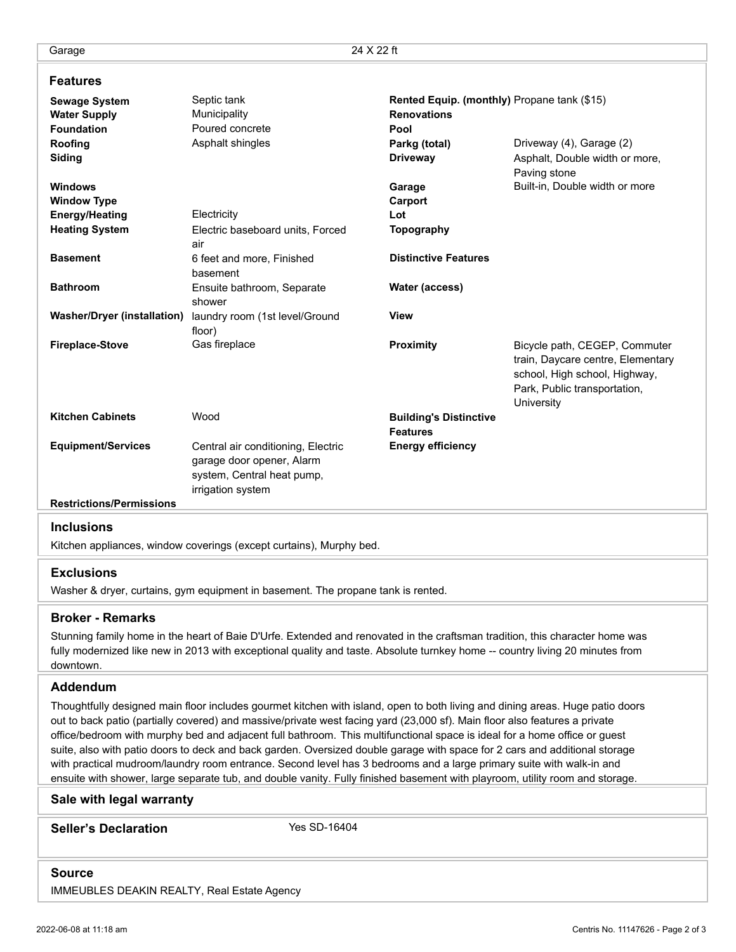## **Features**

| <b>Sewage System</b>               | Septic tank                        | Rented Equip. (monthly) Propane tank (\$15) |                                                                                                     |  |
|------------------------------------|------------------------------------|---------------------------------------------|-----------------------------------------------------------------------------------------------------|--|
| <b>Water Supply</b>                | Municipality                       | <b>Renovations</b>                          |                                                                                                     |  |
| <b>Foundation</b>                  | Poured concrete                    | Pool                                        |                                                                                                     |  |
| Roofing                            | Asphalt shingles                   | Parkg (total)                               | Driveway (4), Garage (2)                                                                            |  |
| Siding                             |                                    | <b>Driveway</b>                             | Asphalt, Double width or more,<br>Paving stone                                                      |  |
| <b>Windows</b>                     |                                    | Garage                                      | Built-in, Double width or more                                                                      |  |
| <b>Window Type</b>                 |                                    | Carport                                     |                                                                                                     |  |
| <b>Energy/Heating</b>              | Electricity                        | Lot                                         |                                                                                                     |  |
| <b>Heating System</b>              | Electric baseboard units, Forced   | <b>Topography</b>                           |                                                                                                     |  |
|                                    | air                                |                                             |                                                                                                     |  |
| <b>Basement</b>                    | 6 feet and more, Finished          | <b>Distinctive Features</b>                 |                                                                                                     |  |
|                                    | basement                           |                                             |                                                                                                     |  |
| <b>Bathroom</b>                    | Ensuite bathroom, Separate         | Water (access)                              |                                                                                                     |  |
|                                    | shower                             |                                             |                                                                                                     |  |
| <b>Washer/Dryer (installation)</b> | laundry room (1st level/Ground     | <b>View</b>                                 |                                                                                                     |  |
|                                    | floor)                             |                                             |                                                                                                     |  |
| <b>Fireplace-Stove</b>             | Gas fireplace                      | Proximity                                   | Bicycle path, CEGEP, Commuter<br>train, Daycare centre, Elementary<br>school, High school, Highway, |  |
|                                    |                                    |                                             | Park, Public transportation,<br>University                                                          |  |
| <b>Kitchen Cabinets</b>            | Wood                               | <b>Building's Distinctive</b>               |                                                                                                     |  |
|                                    |                                    | <b>Features</b>                             |                                                                                                     |  |
| <b>Equipment/Services</b>          | Central air conditioning, Electric | <b>Energy efficiency</b>                    |                                                                                                     |  |
|                                    | garage door opener, Alarm          |                                             |                                                                                                     |  |
|                                    | system, Central heat pump,         |                                             |                                                                                                     |  |
|                                    | irrigation system                  |                                             |                                                                                                     |  |
| <b>Restrictions/Permissions</b>    |                                    |                                             |                                                                                                     |  |
|                                    |                                    |                                             |                                                                                                     |  |

#### **Inclusions**

Kitchen appliances, window coverings (except curtains), Murphy bed.

### **Exclusions**

Washer & dryer, curtains, gym equipment in basement. The propane tank is rented.

### **Broker - Remarks**

Stunning family home in the heart of Baie D'Urfe. Extended and renovated in the craftsman tradition, this character home was fully modernized like new in 2013 with exceptional quality and taste. Absolute turnkey home -- country living 20 minutes from downtown.

## **Addendum**

Thoughtfully designed main floor includes gourmet kitchen with island, open to both living and dining areas. Huge patio doors out to back patio (partially covered) and massive/private west facing yard (23,000 sf). Main floor also features a private office/bedroom with murphy bed and adjacent full bathroom. This multifunctional space is ideal for a home office or guest suite, also with patio doors to deck and back garden. Oversized double garage with space for 2 cars and additional storage with practical mudroom/laundry room entrance. Second level has 3 bedrooms and a large primary suite with walk-in and ensuite with shower, large separate tub, and double vanity. Fully finished basement with playroom, utility room and storage.

#### **Sale with legal warranty**

**Seller's Declaration** Yes SD-16404

## **Source** IMMEUBLES DEAKIN REALTY, Real Estate Agency